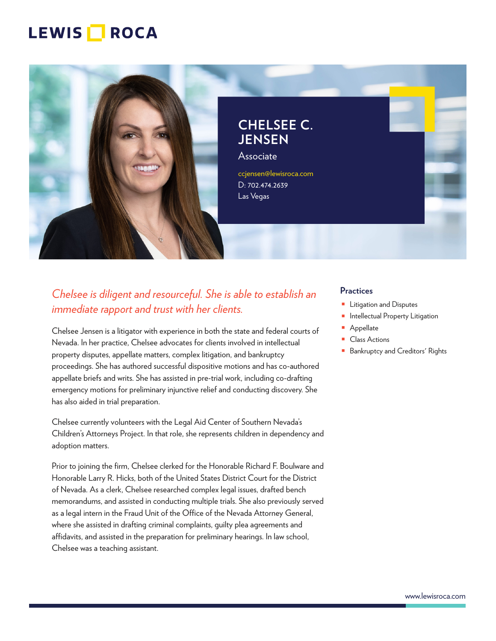# LEWIS **NOCA**



# *Chelsee is diligent and resourceful. She is able to establish an immediate rapport and trust with her clients.*

Chelsee Jensen is a litigator with experience in both the state and federal courts of Nevada. In her practice, Chelsee advocates for clients involved in intellectual property disputes, appellate matters, complex litigation, and bankruptcy proceedings. She has authored successful dispositive motions and has co-authored appellate briefs and writs. She has assisted in pre-trial work, including co-drafting emergency motions for preliminary injunctive relief and conducting discovery. She has also aided in trial preparation.

Chelsee currently volunteers with the Legal Aid Center of Southern Nevada's Children's Attorneys Project. In that role, she represents children in dependency and adoption matters.

Prior to joining the firm, Chelsee clerked for the Honorable Richard F. Boulware and Honorable Larry R. Hicks, both of the United States District Court for the District of Nevada. As a clerk, Chelsee researched complex legal issues, drafted bench memorandums, and assisted in conducting multiple trials. She also previously served as a legal intern in the Fraud Unit of the Office of the Nevada Attorney General, where she assisted in drafting criminal complaints, guilty plea agreements and affidavits, and assisted in the preparation for preliminary hearings. In law school, Chelsee was a teaching assistant.

#### **Practices**

- Litigation and Disputes
- Intellectual Property Litigation
- Appellate
- Class Actions
- Bankruptcy and Creditors' Rights